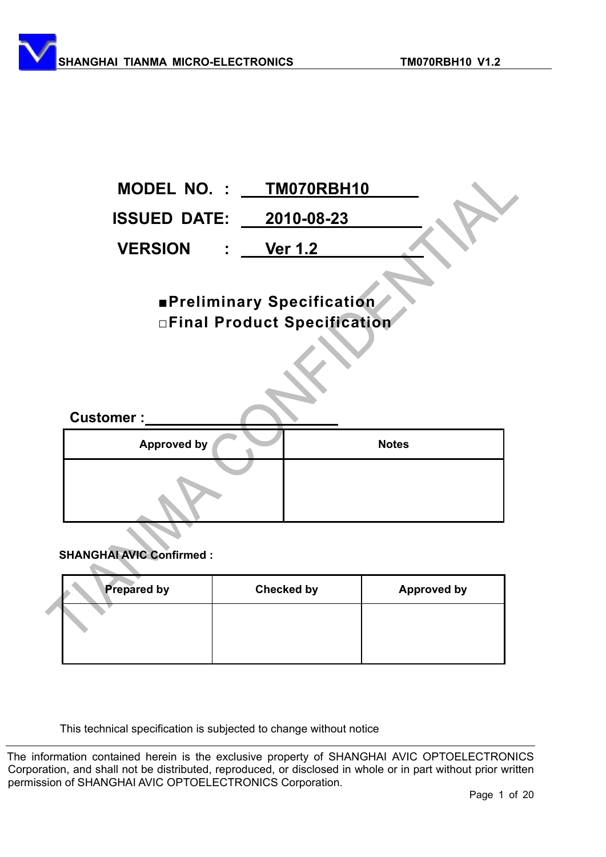|                                     | MODEL NO. : TM070RBH10                                           |
|-------------------------------------|------------------------------------------------------------------|
| <b>ISSUED DATE: 2010-08-23</b>      |                                                                  |
| <b>VERSION</b><br>$\sim$ 100 $\sim$ | <b>Ver 1.2</b>                                                   |
|                                     | <b>Preliminary Specification</b><br>□Final Product Specification |
| <b>Customer:</b>                    |                                                                  |
| <b>Approved by</b>                  | <b>Notes</b>                                                     |
|                                     |                                                                  |

#### **SHANGHAI AVIC Confirmed :**

 $\mathcal{L}_{\mathcal{M}}$ 

| <b>Prepared by</b> | <b>Checked by</b> | <b>Approved by</b> |
|--------------------|-------------------|--------------------|
|                    |                   |                    |
|                    |                   |                    |

This technical specification is subjected to change without notice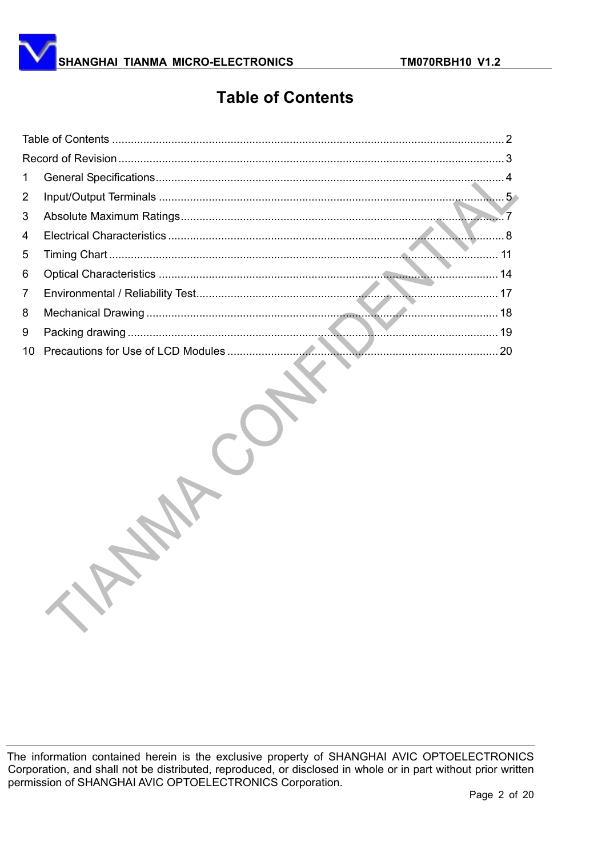

# **Table of Contents**

| $\mathbf{1}$   |  |
|----------------|--|
| $\overline{2}$ |  |
| 3              |  |
| 4              |  |
| 5              |  |
| 6              |  |
| $7^{\circ}$    |  |
| 8              |  |
| 9              |  |
|                |  |
|                |  |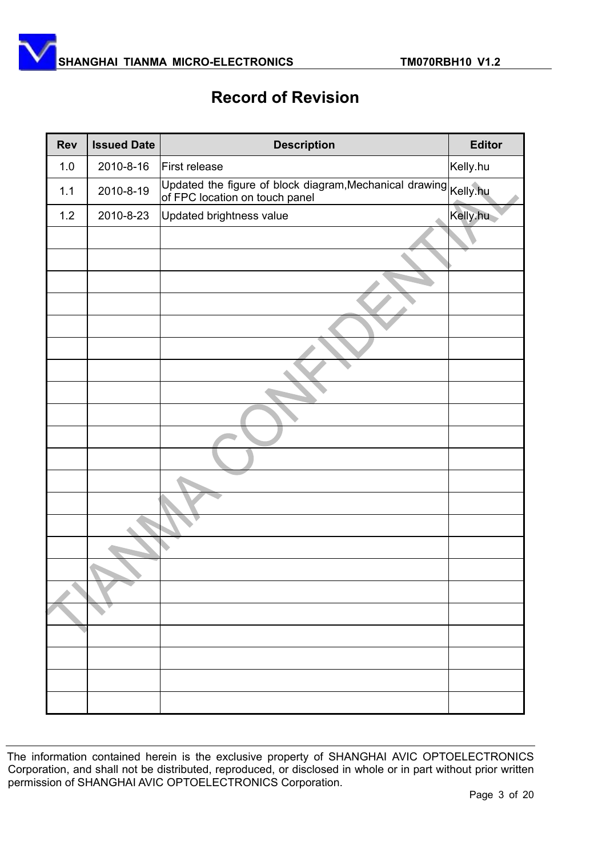

# **Record of Revision**

| <b>Rev</b> | <b>Issued Date</b> | <b>Description</b>                                                                                | <b>Editor</b> |
|------------|--------------------|---------------------------------------------------------------------------------------------------|---------------|
| 1.0        | 2010-8-16          | First release                                                                                     | Kelly.hu      |
| 1.1        | 2010-8-19          | Updated the figure of block diagram,Mechanical drawing Kelly.hu<br>of FPC location on touch panel |               |
| $1.2$      | 2010-8-23          | Updated brightness value                                                                          | Kelly.hu      |
|            |                    |                                                                                                   |               |
|            |                    |                                                                                                   |               |
|            |                    |                                                                                                   |               |
|            |                    |                                                                                                   |               |
|            |                    |                                                                                                   |               |
|            |                    |                                                                                                   |               |
|            |                    |                                                                                                   |               |
|            |                    |                                                                                                   |               |
|            |                    |                                                                                                   |               |
|            |                    |                                                                                                   |               |
|            |                    |                                                                                                   |               |
|            |                    |                                                                                                   |               |
|            |                    |                                                                                                   |               |
|            |                    |                                                                                                   |               |
|            |                    |                                                                                                   |               |
|            |                    |                                                                                                   |               |
|            |                    |                                                                                                   |               |
|            |                    |                                                                                                   |               |
|            |                    |                                                                                                   |               |
|            |                    |                                                                                                   |               |
|            |                    |                                                                                                   |               |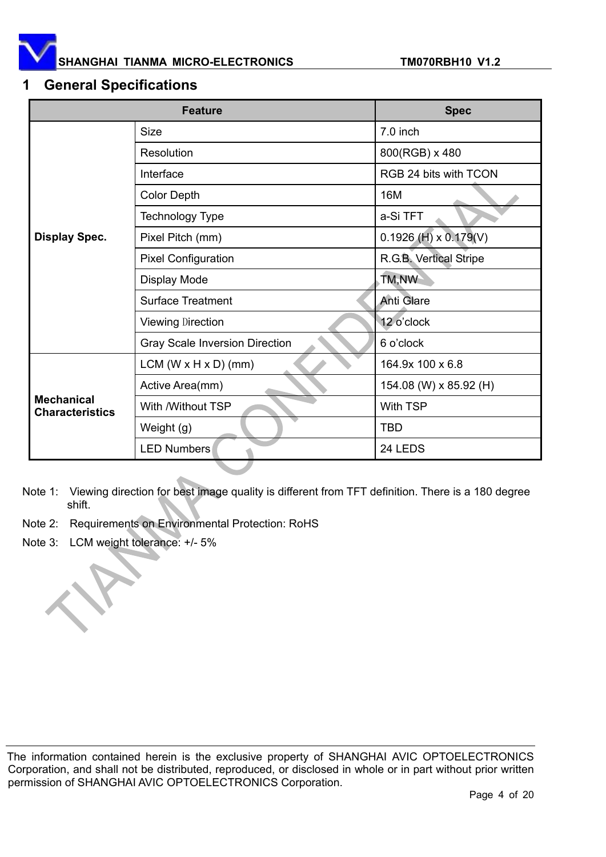

#### **1 General Specifications**

|                                             | <b>Spec</b>                           |                           |
|---------------------------------------------|---------------------------------------|---------------------------|
|                                             | <b>Size</b>                           | 7.0 inch                  |
|                                             | Resolution                            | 800(RGB) x 480            |
|                                             | Interface                             | RGB 24 bits with TCON     |
|                                             | <b>Color Depth</b>                    | 16M                       |
|                                             | <b>Technology Type</b>                | a-Si TFT                  |
| <b>Display Spec.</b>                        | Pixel Pitch (mm)                      | $0.1926$ (H) x $0.179(V)$ |
|                                             | <b>Pixel Configuration</b>            | R.G.B. Vertical Stripe    |
|                                             | Display Mode                          | TM,NW                     |
|                                             | <b>Surface Treatment</b>              | <b>Anti Glare</b>         |
|                                             | <b>Viewing Direction</b>              | 12 o'clock                |
|                                             | <b>Gray Scale Inversion Direction</b> | 6 o'clock                 |
|                                             | LCM $(W \times H \times D)$ (mm)      | 164.9x 100 x 6.8          |
|                                             | Active Area(mm)                       | 154.08 (W) x 85.92 (H)    |
| <b>Mechanical</b><br><b>Characteristics</b> | With /Without TSP                     | <b>With TSP</b>           |
|                                             | Weight (g)                            | <b>TBD</b>                |
|                                             | <b>LED Numbers</b>                    | 24 LEDS                   |

- Note 1: Viewing direction for best image quality is different from TFT definition. There is a 180 degree shift.
- Note 2: Requirements on Environmental Protection: RoHS
- Note 3: LCM weight tolerance: +/- 5%

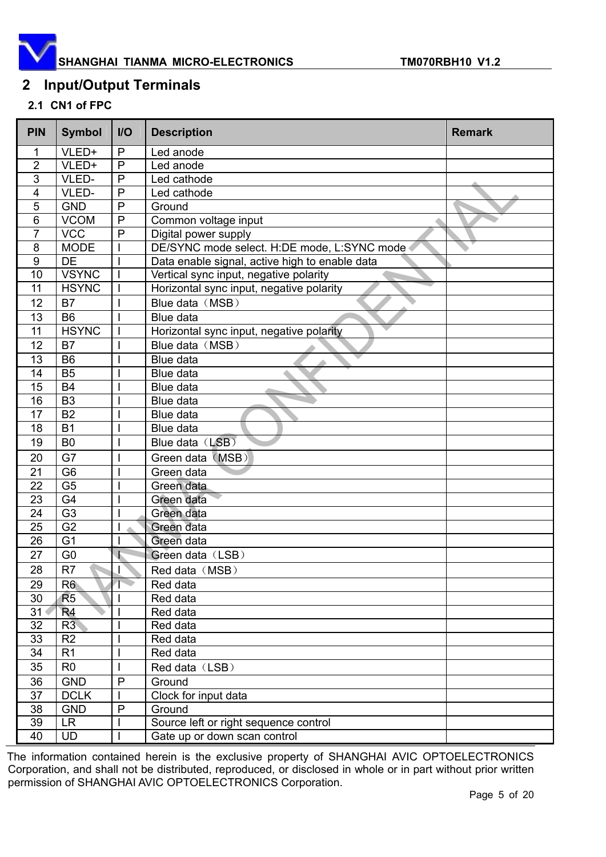

### **2 Input/Output Terminals**

#### **2.1 CN1 of FPC**

| <b>PIN</b>     | <b>Symbol</b>  | I/O          | <b>Description</b>                             | <b>Remark</b> |  |
|----------------|----------------|--------------|------------------------------------------------|---------------|--|
| 1              | VLED+          | $\mathsf{P}$ | Led anode                                      |               |  |
| $\overline{2}$ | VLED+          | P            | Led anode                                      |               |  |
| 3              | VLED-          | $\mathsf{P}$ | Led cathode                                    |               |  |
| 4              | VLED-          | $\mathsf{P}$ | Led cathode                                    |               |  |
| 5              | <b>GND</b>     | $\mathsf{P}$ | Ground                                         |               |  |
| 6              | <b>VCOM</b>    | $\mathsf{P}$ | Common voltage input                           |               |  |
| $\overline{7}$ | <b>VCC</b>     | P            | Digital power supply                           |               |  |
| 8              | <b>MODE</b>    |              | DE/SYNC mode select. H:DE mode, L:SYNC mode    |               |  |
| 9              | <b>DE</b>      |              | Data enable signal, active high to enable data |               |  |
| 10             | <b>VSYNC</b>   | $\mathbf{I}$ | Vertical sync input, negative polarity         |               |  |
| 11             | <b>HSYNC</b>   | $\mathsf{l}$ | Horizontal sync input, negative polarity       |               |  |
| 12             | <b>B7</b>      |              | Blue data (MSB)                                |               |  |
| 13             | <b>B6</b>      |              | Blue data                                      |               |  |
| 11             | <b>HSYNC</b>   |              | Horizontal sync input, negative polarity       |               |  |
| 12             | <b>B7</b>      |              | Blue data (MSB)                                |               |  |
| 13             | <b>B6</b>      |              | Blue data                                      |               |  |
| 14             | <b>B5</b>      |              | Blue data                                      |               |  |
| 15             | <b>B4</b>      |              | Blue data                                      |               |  |
| 16             | B <sub>3</sub> |              | Blue data                                      |               |  |
| 17             | <b>B2</b>      |              | Blue data                                      |               |  |
| 18             | <b>B1</b>      |              | Blue data                                      |               |  |
| 19             | B <sub>0</sub> |              | Blue data (LSB)                                |               |  |
| 20             | G7             |              | Green data (MSB)                               |               |  |
| 21             | G <sub>6</sub> |              | Green data                                     |               |  |
| 22             | G <sub>5</sub> |              | Green data                                     |               |  |
| 23             | G4             |              | Green data                                     |               |  |
| 24             | G <sub>3</sub> |              | Green data                                     |               |  |
| 25             | G <sub>2</sub> |              | Green data                                     |               |  |
| 26             | G <sub>1</sub> |              | Green data                                     |               |  |
| 27             | G <sub>0</sub> |              | Green data (LSB)                               |               |  |
| 28             | R <sub>7</sub> |              | Red data (MSB)                                 |               |  |
| 29             | R6             | T            | Red data                                       |               |  |
| 30             | R <sub>5</sub> |              | Red data                                       |               |  |
| 31             | R <sub>4</sub> |              | Red data                                       |               |  |
| 32             | R3             |              | Red data                                       |               |  |
| 33             | R <sub>2</sub> |              | Red data                                       |               |  |
| 34             | R1             |              | Red data                                       |               |  |
| 35             | R <sub>0</sub> |              | Red data (LSB)                                 |               |  |
| 36             | <b>GND</b>     | $\mathsf{P}$ | Ground                                         |               |  |
| 37             | <b>DCLK</b>    |              | Clock for input data                           |               |  |
| 38             | <b>GND</b>     | $\mathsf{P}$ | Ground                                         |               |  |
| 39             | <b>LR</b>      |              | Source left or right sequence control          |               |  |
| 40             | <b>UD</b>      |              | Gate up or down scan control                   |               |  |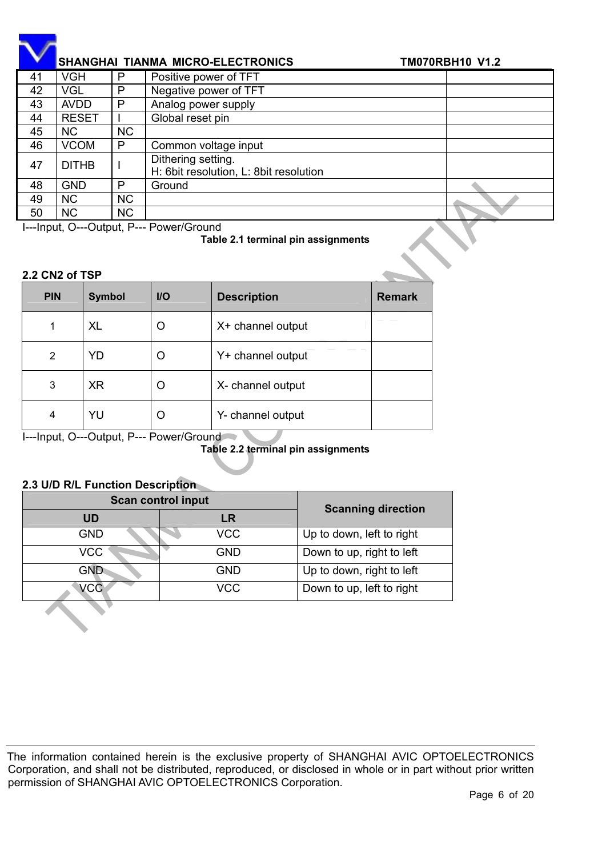|    | <b>SHANGHAI TIANMA MICRO-ELECTRONICS</b> | <b>TM070RBH10 V1.2</b> |                                                              |  |
|----|------------------------------------------|------------------------|--------------------------------------------------------------|--|
| 41 | VGH                                      | P                      | Positive power of TFT                                        |  |
| 42 | VGL                                      | P                      | Negative power of TFT                                        |  |
| 43 | <b>AVDD</b>                              | P                      | Analog power supply                                          |  |
| 44 | <b>RESET</b>                             |                        | Global reset pin                                             |  |
| 45 | <b>NC</b>                                | <b>NC</b>              |                                                              |  |
| 46 | <b>VCOM</b>                              | P                      | Common voltage input                                         |  |
| 47 | <b>DITHB</b>                             |                        | Dithering setting.<br>H: 6bit resolution, L: 8bit resolution |  |
| 48 | <b>GND</b>                               | P                      | Ground                                                       |  |
| 49 | <b>NC</b>                                | <b>NC</b>              |                                                              |  |
| 50 | <b>NC</b>                                | <b>NC</b>              |                                                              |  |

I---Input, O---Output, P--- Power/Ground

**Table 2.1 terminal pin assignments** 

#### **2.2 CN2 of TSP**

| <b>PIN</b> | <b>Symbol</b> | $U$    | <b>Description</b> | <b>Remark</b> |
|------------|---------------|--------|--------------------|---------------|
| 1          | <b>XL</b>     | $\Box$ | X+ channel output  |               |
| 2          | YD            | 0      | Y+ channel output  |               |
| 3          | <b>XR</b>     | O      | X- channel output  |               |
| 4          | YU            | ( )    | Y- channel output  |               |

I---Input, O---Output, P--- Power/Ground

**Table 2.2 terminal pin assignments** 

#### **2.3 U/D R/L Function Description**

| <b>Scan control input</b> | <b>Scanning direction</b> |                           |
|---------------------------|---------------------------|---------------------------|
| <b>UD</b>                 | <b>LR</b>                 |                           |
| <b>GND</b>                | <b>VCC</b>                | Up to down, left to right |
| <b>VCC</b>                | <b>GND</b>                | Down to up, right to left |
| GND                       | <b>GND</b>                | Up to down, right to left |
| <b>VCC</b>                | <b>VCC</b>                | Down to up, left to right |
|                           |                           |                           |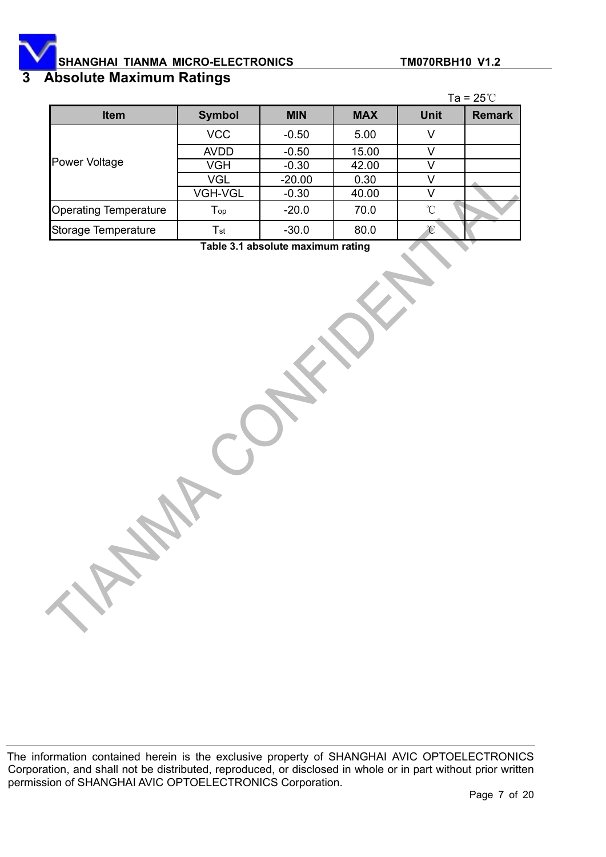# **3 Absolute Maximum Ratings**

|                              |                            |            |            |             | Ta = $25^{\circ}$ C |
|------------------------------|----------------------------|------------|------------|-------------|---------------------|
| <b>Item</b>                  | <b>Symbol</b>              | <b>MIN</b> | <b>MAX</b> | <b>Unit</b> | <b>Remark</b>       |
|                              | <b>VCC</b>                 | $-0.50$    | 5.00       |             |                     |
|                              | <b>AVDD</b>                | $-0.50$    | 15.00      |             |                     |
| <b>Power Voltage</b>         | <b>VGH</b>                 | $-0.30$    | 42.00      |             |                     |
|                              | <b>VGL</b>                 | $-20.00$   | 0.30       |             |                     |
|                              | <b>VGH-VGL</b>             | $-0.30$    | 40.00      |             |                     |
| <b>Operating Temperature</b> | $\mathsf{T}_{\mathsf{op}}$ | $-20.0$    | 70.0       | °∩          |                     |
| Storage Temperature          | $\mathsf{T}_{\mathsf{st}}$ | $-30.0$    | 80.0       | °C          |                     |

**Table 3.1 absolute maximum rating**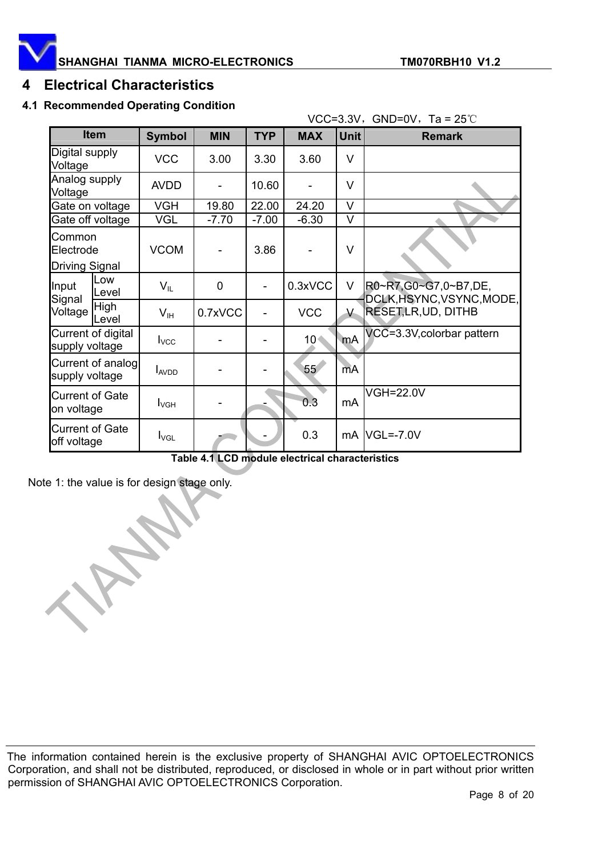

#### **4 Electrical Characteristics**

#### **4.1 Recommended Operating Condition**

|                                       |                      |                  |                |            |            | VCC=3.3V, GND=0V, Ta = $25^{\circ}$ C |                                                   |
|---------------------------------------|----------------------|------------------|----------------|------------|------------|---------------------------------------|---------------------------------------------------|
| <b>Item</b>                           |                      | <b>Symbol</b>    | <b>MIN</b>     | <b>TYP</b> | <b>MAX</b> | <b>Unit</b>                           | <b>Remark</b>                                     |
| Digital supply<br>Voltage             |                      | <b>VCC</b>       | 3.00           | 3.30       | 3.60       | V                                     |                                                   |
| Analog supply<br>Voltage              |                      | <b>AVDD</b>      | -              | 10.60      |            | V                                     |                                                   |
|                                       | Gate on voltage      | <b>VGH</b>       | 19.80          | 22.00      | 24.20      | V                                     |                                                   |
|                                       | Gate off voltage     | <b>VGL</b>       | $-7.70$        | $-7.00$    | $-6.30$    | V                                     |                                                   |
| Common<br>Electrode                   |                      | <b>VCOM</b>      |                | 3.86       |            | V                                     |                                                   |
| <b>Driving Signal</b>                 |                      |                  |                |            |            |                                       |                                                   |
| Input<br>Signal                       | Low<br>Level         | $V_{IL}$         | $\overline{0}$ |            | 0.3xVCC    | V                                     | R0~R7,G0~G7,0~B7,DE,<br>DCLK, HSYNC, VSYNC, MODE, |
| Voltage                               | <b>High</b><br>Level | $V_{\text{IH}}$  | 0.7xVCC        |            | <b>VCC</b> | Y.                                    | <b>RESET,LR,UD, DITHB</b>                         |
| Current of digital<br>supply voltage  |                      | $I_{\text{VCC}}$ |                |            | $10 -$     | mA                                    | VCC=3.3V, colorbar pattern                        |
| Current of analog<br>supply voltage   |                      | $I_{AVDD}$       |                |            | 55         | mA                                    |                                                   |
| <b>Current of Gate</b><br>on voltage  |                      | <b>I</b> vgh     |                |            | 0.3        | mA                                    | <b>VGH=22.0V</b>                                  |
| <b>Current of Gate</b><br>off voltage |                      | $I_{\text{VGL}}$ |                |            | 0.3        |                                       | $mA$ VGL=-7.0V                                    |

**Table 4.1 LCD module electrical characteristics** 

Note 1: the value is for design stage only.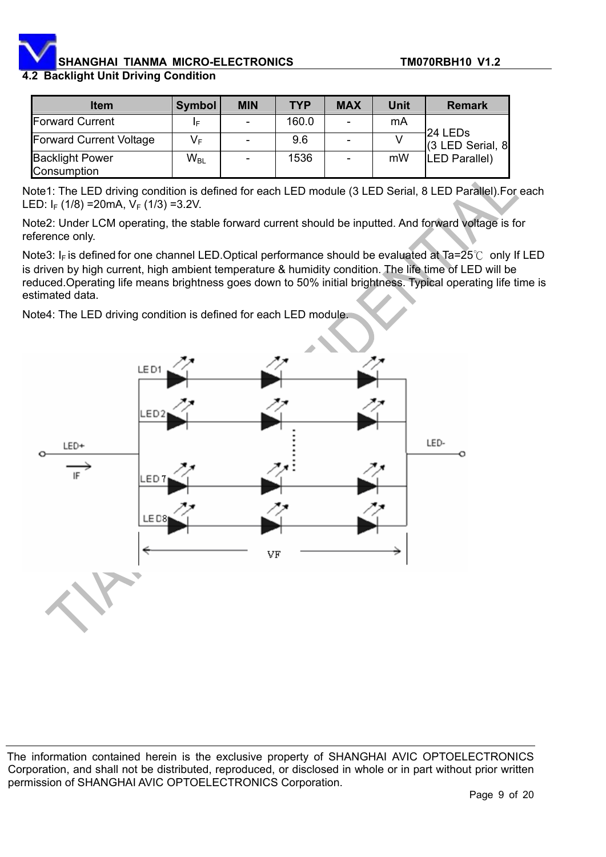#### **4.2 Backlight Unit Driving Condition**

| <b>Item</b>                           | Symbol   | <b>MIN</b> | <b>TYP</b> | <b>MAX</b>               | Unit | <b>Remark</b>        |
|---------------------------------------|----------|------------|------------|--------------------------|------|----------------------|
| Forward Current                       | IF       | -          | 160.0      | $\overline{\phantom{a}}$ | mA   | 24 LED <sub>s</sub>  |
| <b>Forward Current Voltage</b>        | VF       |            | 9.6        |                          |      | (3 LED Serial, 8     |
| <b>Backlight Power</b><br>Consumption | $W_{BL}$ |            | 1536       | -                        | mW   | <b>LED Parallel)</b> |

Note1: The LED driving condition is defined for each LED module (3 LED Serial, 8 LED Parallel).For each LED:  $I_F$  (1/8) = 20 mA,  $V_F$  (1/3) = 3.2V.

Note2: Under LCM operating, the stable forward current should be inputted. And forward voltage is for reference only.

Note3: I<sub>F</sub> is defined for one channel LED.Optical performance should be evaluated at Ta=25°C only If LED is driven by high current, high ambient temperature & humidity condition. The life time of LED will be reduced.Operating life means brightness goes down to 50% initial brightness. Typical operating life time is estimated data.

Note4: The LED driving condition is defined for each LED module.

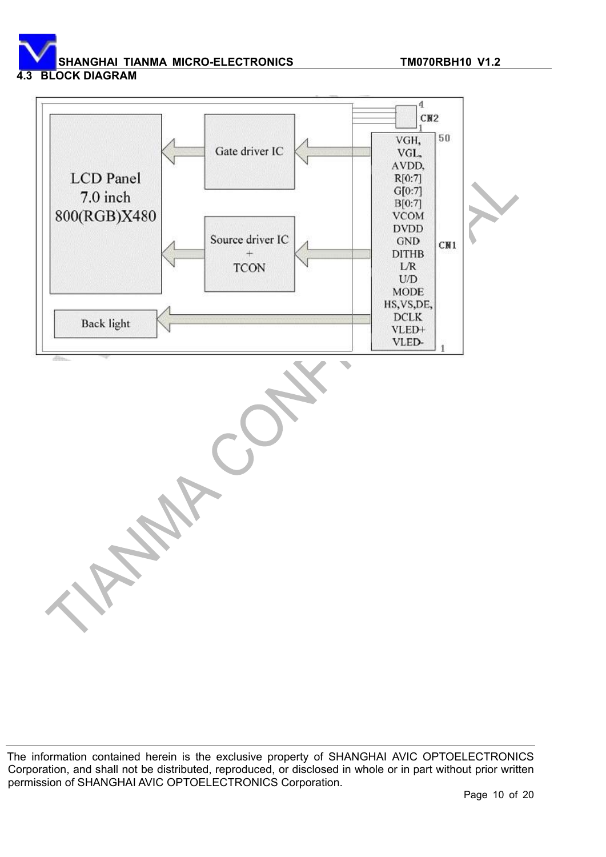**4.3 BLOCK DIAGRAM** 

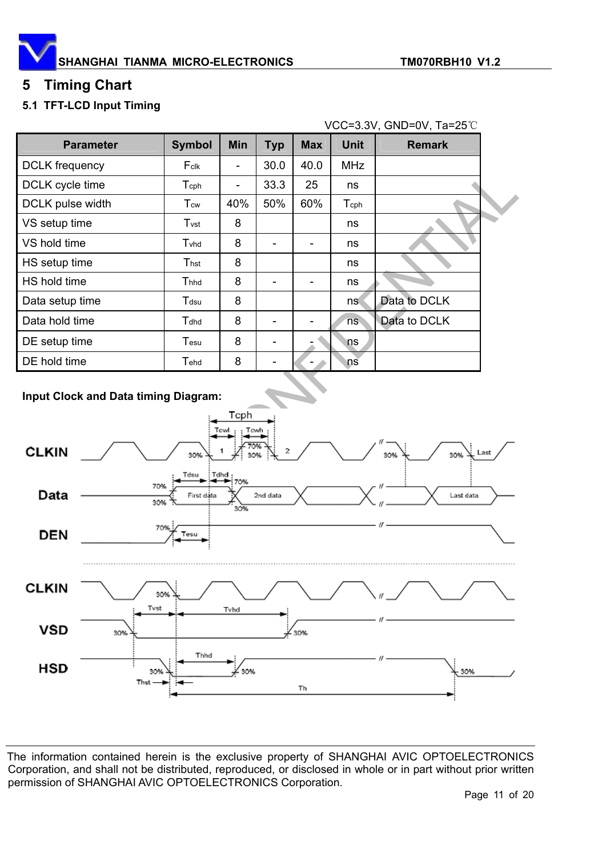

# **5 Timing Chart**

#### **5.1 TFT-LCD Input Timing**

| VCC=3.3V, GND=0V, Ta=25°C |                           |            |            |            |             |               |  |
|---------------------------|---------------------------|------------|------------|------------|-------------|---------------|--|
| <b>Parameter</b>          | <b>Symbol</b>             | <b>Min</b> | <b>Typ</b> | <b>Max</b> | <b>Unit</b> | <b>Remark</b> |  |
| <b>DCLK</b> frequency     | Fclk                      |            | 30.0       | 40.0       | MHz         |               |  |
| DCLK cycle time           | $\mathsf{T_{\text{cph}}}$ | ۰          | 33.3       | 25         | ns          |               |  |
| DCLK pulse width          | T <sub>cw</sub>           | 40%        | 50%        | 60%        | Tcph        |               |  |
| VS setup time             | $T_{\rm Vst}$             | 8          |            |            | ns          |               |  |
| VS hold time              | Tyhd                      | 8          |            |            | ns          |               |  |
| HS setup time             | Thst                      | 8          |            |            | ns          |               |  |
| HS hold time              | $T$ hhd                   | 8          | -          |            | ns          |               |  |
| Data setup time           | $\mathsf{T}$ dsu          | 8          |            |            | ns.         | Data to DCLK  |  |
| Data hold time            | Tdhd                      | 8          |            |            | ns.         | Data to DCLK  |  |
| DE setup time             | $\mathsf{T}$ esu          | 8          |            |            | ns          |               |  |
| DE hold time              | $\mathsf{T}$ ehd          | 8          |            |            | ns          |               |  |

#### **Input Clock and Data timing Diagram:**

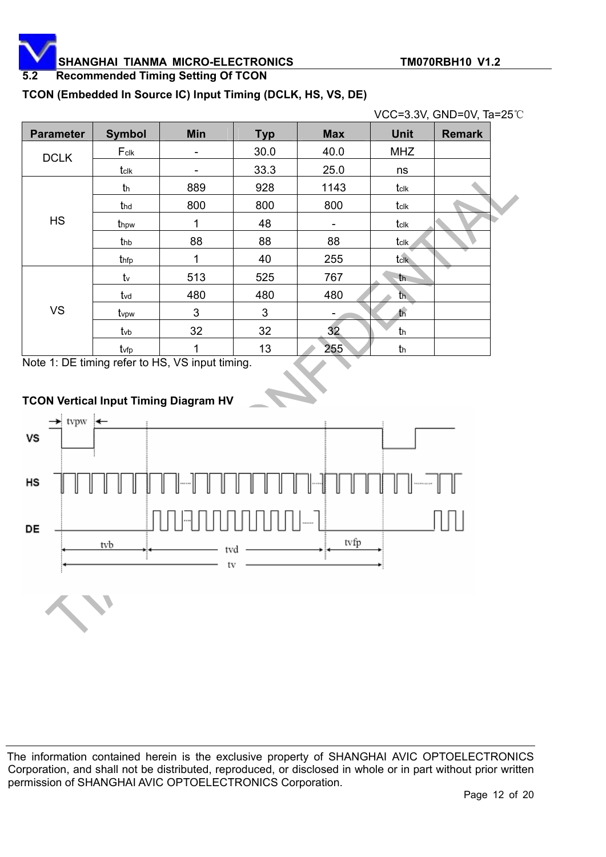**5.2 Recommended Timing Setting Of TCON** 

#### **TCON (Embedded In Source IC) Input Timing (DCLK, HS, VS, DE)**

|                  |                  |            |            |                          | VCC=3.3V, GND=0V, Ta=25°C |               |  |
|------------------|------------------|------------|------------|--------------------------|---------------------------|---------------|--|
| <b>Parameter</b> | <b>Symbol</b>    | <b>Min</b> | <b>Typ</b> | <b>Max</b>               | <b>Unit</b>               | <b>Remark</b> |  |
| <b>DCLK</b>      | $F_{\text{clk}}$ | -          | 30.0       | 40.0                     | <b>MHZ</b>                |               |  |
|                  | tclk             |            | 33.3       | 25.0                     | ns                        |               |  |
|                  | th               | 889        | 928        | 1143                     | tclk                      |               |  |
|                  | thd              | 800        | 800        | 800                      | tclk                      |               |  |
| <b>HS</b>        | thpw             | 1          | 48         | $\overline{\phantom{a}}$ | tclk                      |               |  |
|                  | thb              | 88         | 88         | 88                       | tclk                      |               |  |
|                  | thfp             | 1          | 40         | 255                      | tclk                      |               |  |
|                  | $t_{v}$          | 513        | 525        | 767                      | th.                       |               |  |
|                  | tvd              | 480        | 480        | 480                      | $th$                      |               |  |
| <b>VS</b>        | tvpw             | 3          | 3          |                          | t <sub>h</sub>            |               |  |
|                  | $t$ vb           | 32         | 32         | 32                       | th                        |               |  |
|                  | tvfp             | 1          | 13         | 255                      | th                        |               |  |

Note 1: DE timing refer to HS, VS input timing.



#### **TCON Vertical Input Timing Diagram HV**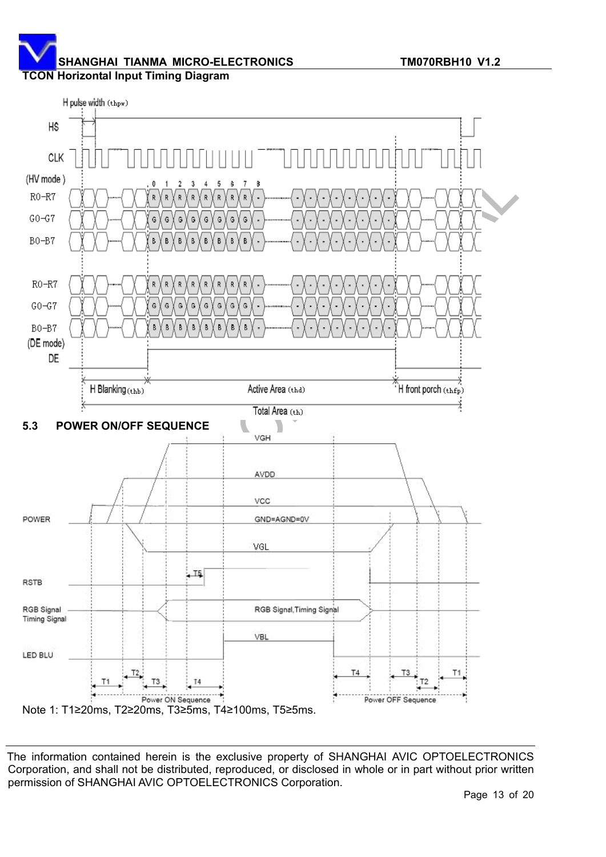**TCON Horizontal Input Timing Diagram** 

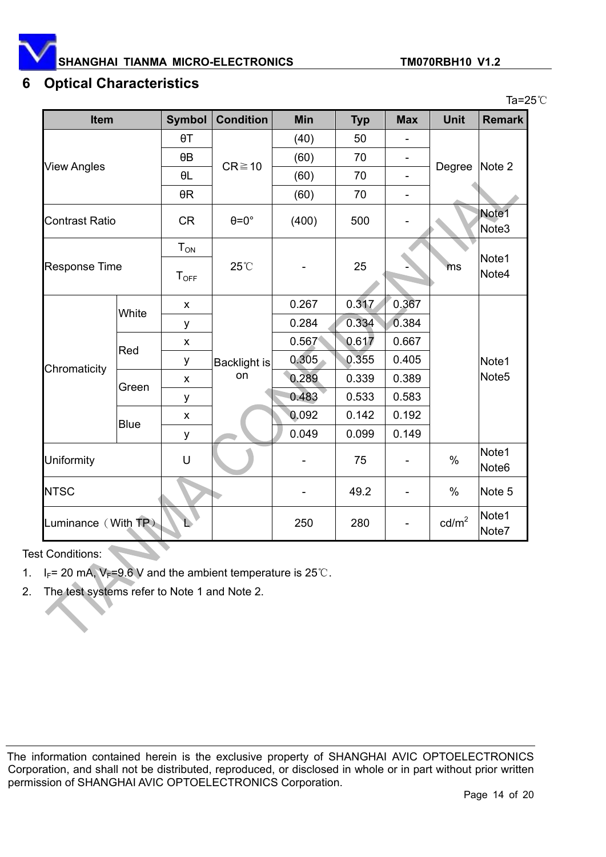

Ta= $25^\circ$ C

#### **6 Optical Characteristics**

| <b>Item</b>           |                      | <b>Symbol</b>    | <b>Condition</b>    | Min   | <b>Typ</b> | <b>Max</b>               | <b>Unit</b>       | <b>Remark</b>              |  |
|-----------------------|----------------------|------------------|---------------------|-------|------------|--------------------------|-------------------|----------------------------|--|
|                       |                      | $\theta$ T       |                     | (40)  | 50         |                          |                   |                            |  |
|                       |                      | $\theta$ B       | $CR \ge 10$         | (60)  | 70         | $\overline{\phantom{a}}$ |                   | Note 2                     |  |
| <b>View Angles</b>    |                      | $\theta L$       |                     | (60)  | 70         |                          | Degree            |                            |  |
|                       |                      | $\theta R$       |                     | (60)  | 70         |                          |                   |                            |  |
| <b>Contrast Ratio</b> |                      | <b>CR</b>        | $\theta = 0^\circ$  | (400) | 500        |                          |                   | Note1<br>Note <sub>3</sub> |  |
|                       |                      | $T_{ON}$         |                     |       | 25         | ms                       |                   |                            |  |
| <b>Response Time</b>  |                      | T <sub>OFF</sub> | 25°C                |       |            |                          | Note1<br>Note4    |                            |  |
|                       |                      |                  |                     |       |            |                          |                   |                            |  |
|                       | White                | X                |                     | 0.267 | 0.317      | 0.367                    |                   |                            |  |
|                       |                      | у                |                     | 0.284 | 0.334      | 0.384                    |                   |                            |  |
|                       | Red                  | X                |                     | 0.567 | 0.617      | 0.667                    |                   |                            |  |
| Chromaticity          |                      | у                | <b>Backlight is</b> | 0.305 | 0.355      | 0.405                    |                   | Note1                      |  |
|                       | Green<br><b>Blue</b> | X                | on                  | 0.289 | 0.339      | 0.389                    |                   | Note <sub>5</sub>          |  |
|                       |                      | у                |                     | 0.483 | 0.533      | 0.583                    |                   |                            |  |
|                       |                      | X                |                     | 0.092 | 0.142      | 0.192                    |                   |                            |  |
|                       |                      | у                |                     | 0.049 | 0.099      | 0.149                    |                   |                            |  |
| Uniformity            |                      | $\mathsf U$      |                     |       | 75         |                          | $\frac{0}{0}$     | Note1<br>Note <sub>6</sub> |  |
| <b>NTSC</b>           |                      |                  |                     |       | 49.2       |                          | $\%$              | Note 5                     |  |
| Luminance (With TP)   |                      |                  |                     | 250   | 280        |                          | cd/m <sup>2</sup> | Note1<br>Note7             |  |

Test Conditions:

- 1.  $I_F$  = 20 mA,  $V_F$ =9.6 V and the ambient temperature is 25°C.
- 2. The test systems refer to Note 1 and Note 2.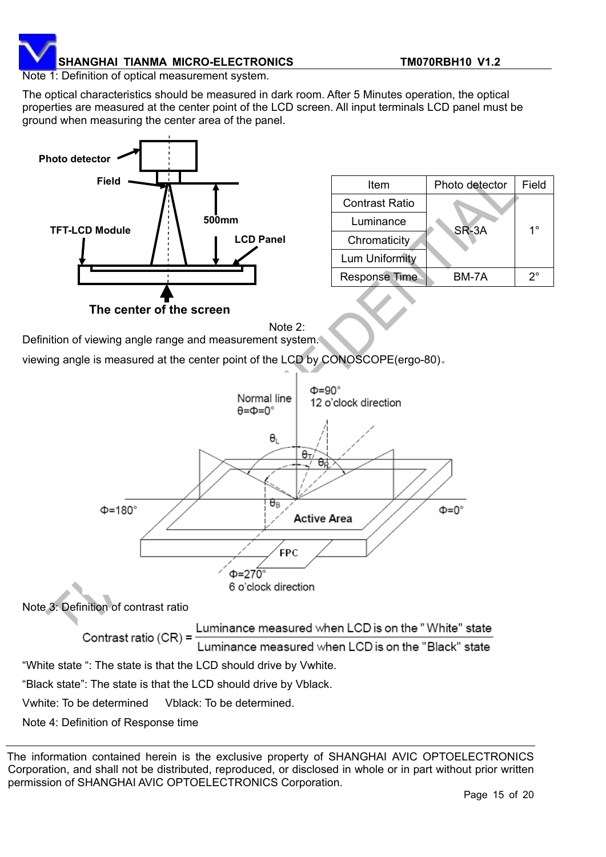

Note 1: Definition of optical measurement system.

The optical characteristics should be measured in dark room. After 5 Minutes operation, the optical properties are measured at the center point of the LCD screen. All input terminals LCD panel must be ground when measuring the center area of the panel.



| Item                  | Photo detector | Field |  |  |
|-----------------------|----------------|-------|--|--|
| <b>Contrast Ratio</b> |                |       |  |  |
| Luminance             | SR-3A          | 1°    |  |  |
| Chromaticity          |                |       |  |  |
| Lum Uniformity        |                |       |  |  |
| <b>Response Time</b>  | BM-7A          | 2°    |  |  |

Note 2:

Definition of viewing angle range and measurement system.

viewing angle is measured at the center point of the LCD by CONOSCOPE(ergo-80).



The information contained herein is the exclusive property of SHANGHAI AVIC OPTOELECTRONICS Corporation, and shall not be distributed, reproduced, or disclosed in whole or in part without prior written permission of SHANGHAI AVIC OPTOELECTRONICS Corporation.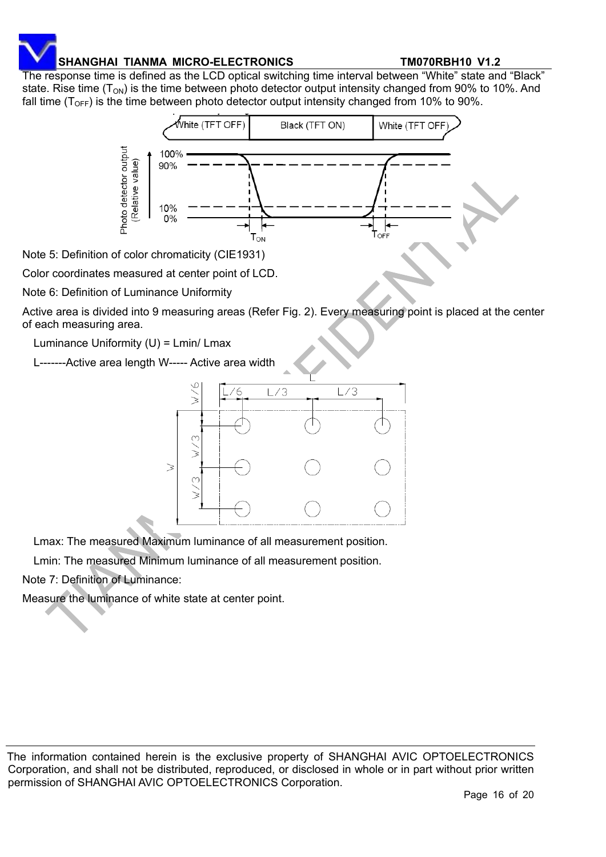The response time is defined as the LCD optical switching time interval between "White" state and "Black" state. Rise time ( $T_{ON}$ ) is the time between photo detector output intensity changed from 90% to 10%. And fall time ( $T<sub>OFF</sub>$ ) is the time between photo detector output intensity changed from 10% to 90%.



Note 5: Definition of color chromaticity (CIE1931)

Color coordinates measured at center point of LCD.

Note 6: Definition of Luminance Uniformity

Active area is divided into 9 measuring areas (Refer Fig. 2). Every measuring point is placed at the center of each measuring area.

Luminance Uniformity (U) = Lmin/ Lmax

L-------Active area length W----- Active area width



Lmax: The measured Maximum luminance of all measurement position.

Lmin: The measured Minimum luminance of all measurement position.

Note 7: Definition of Luminance:

Measure the luminance of white state at center point.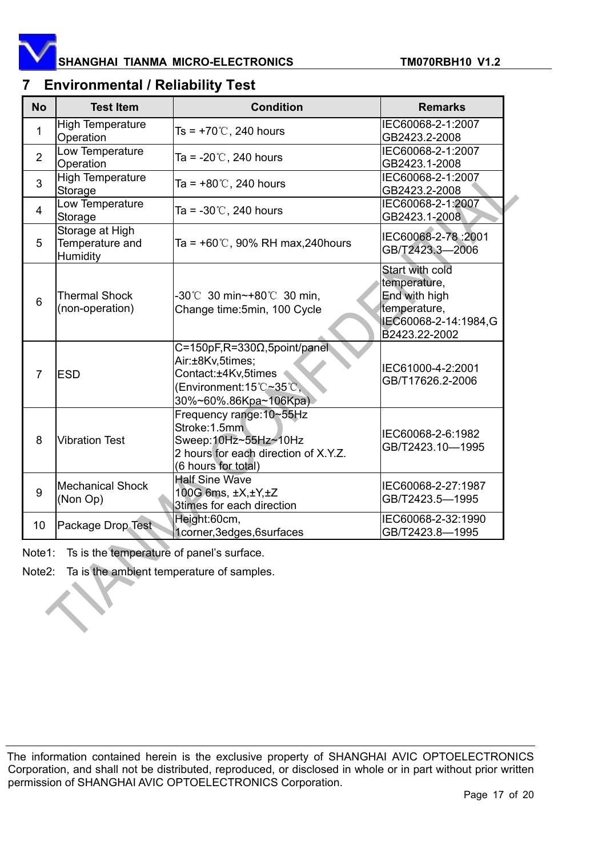

# **7 Environmental / Reliability Test**

| <b>No</b>      | <b>Test Item</b>                               | <b>Condition</b>                                                                                                                         | <b>Remarks</b>                                                                                            |
|----------------|------------------------------------------------|------------------------------------------------------------------------------------------------------------------------------------------|-----------------------------------------------------------------------------------------------------------|
| 1              | <b>High Temperature</b><br>Operation           | Ts = $+70^{\circ}$ C, 240 hours                                                                                                          | IEC60068-2-1:2007<br>GB2423.2-2008                                                                        |
| $\overline{2}$ | Low Temperature<br>Operation                   | Ta = $-20^{\circ}$ C, 240 hours                                                                                                          | IEC60068-2-1:2007<br>GB2423.1-2008                                                                        |
| 3              | <b>High Temperature</b><br>Storage             | Ta = $+80^{\circ}$ C, 240 hours                                                                                                          | IEC60068-2-1:2007<br>GB2423.2-2008                                                                        |
| $\overline{4}$ | Low Temperature<br>Storage                     | Ta = -30 $\degree$ C, 240 hours                                                                                                          | IEC60068-2-1:2007<br>GB2423.1-2008                                                                        |
| 5              | Storage at High<br>Temperature and<br>Humidity | Ta = $+60^{\circ}$ C, 90% RH max, 240 hours                                                                                              | IEC60068-2-78:2001<br>GB/T2423.3-2006                                                                     |
| 6              | <b>Thermal Shock</b><br>(non-operation)        | -30℃ 30 min~+80℃ 30 min,<br>Change time: 5min, 100 Cycle                                                                                 | Start with cold<br>temperature,<br>End with high<br>temperature,<br>IEC60068-2-14:1984,G<br>B2423.22-2002 |
| $\overline{7}$ | <b>ESD</b>                                     | $C = 150pF$ , R=330 $\Omega$ , 5point/panel<br>Air:±8Kv,5times;<br>Contact:±4Kv,5times<br>(Environment:15℃~35℃,<br>30%~60%.86Kpa~106Kpa) | IEC61000-4-2:2001<br>GB/T17626.2-2006                                                                     |
| 8              | <b>Vibration Test</b>                          | Frequency range: 10~55Hz<br>Stroke: 1.5mm<br>Sweep:10Hz~55Hz~10Hz<br>2 hours for each direction of X.Y.Z.<br>(6 hours for total)         | IEC60068-2-6:1982<br>GB/T2423.10-1995                                                                     |
| 9              | <b>Mechanical Shock</b><br>(Non Op)            | <b>Half Sine Wave</b><br>100G 6ms, ±X,±Y,±Z<br>3times for each direction                                                                 | IEC60068-2-27:1987<br>GB/T2423.5-1995                                                                     |
| 10             | Package Drop Test                              | Height:60cm,<br>1corner, 3edges, 6surfaces                                                                                               | IEC60068-2-32:1990<br>GB/T2423.8-1995                                                                     |

Note1: Ts is the temperature of panel's surface.

Note2: Ta is the ambient temperature of samples.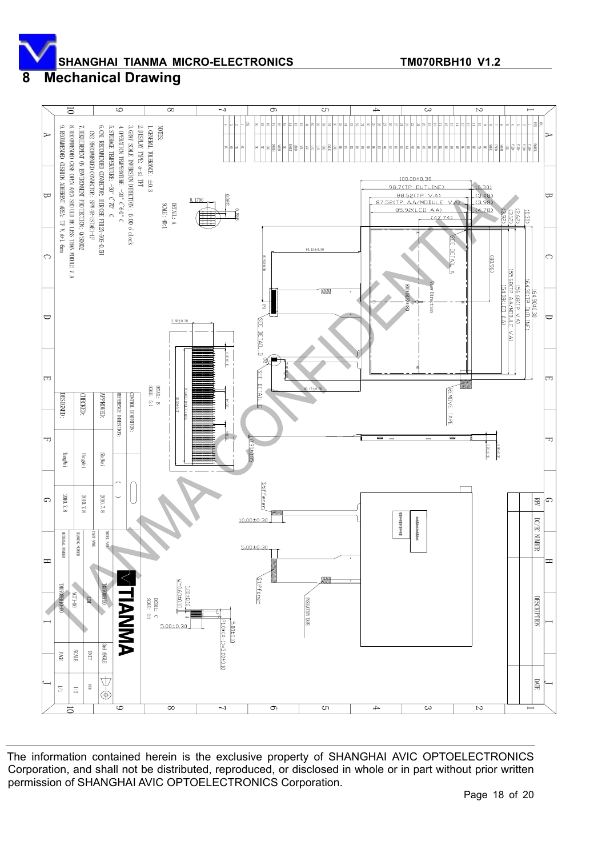#### **8 Mechanical Drawing**

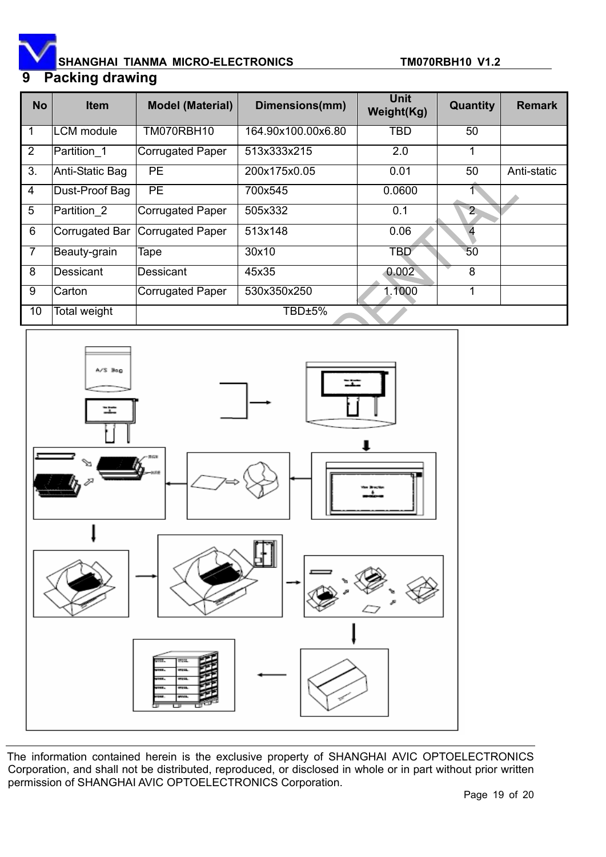

# **9 Packing drawing**

| <b>No</b>      | <b>Item</b>       | <b>Model (Material)</b> | Dimensions(mm)     | <b>Unit</b><br>Weight(Kg) | Quantity       | <b>Remark</b> |
|----------------|-------------------|-------------------------|--------------------|---------------------------|----------------|---------------|
|                | <b>LCM</b> module | TM070RBH10              | 164.90x100.00x6.80 | TBD                       | 50             |               |
| $\overline{2}$ | Partition 1       | <b>Corrugated Paper</b> | 513x333x215        | 2.0                       | 1              |               |
| 3.             | Anti-Static Bag   | <b>PE</b>               | 200x175x0.05       | 0.01                      | 50             | Anti-static   |
| $\overline{4}$ | Dust-Proof Bag    | <b>PE</b>               | 700x545            | 0.0600                    |                |               |
| 5              | Partition 2       | <b>Corrugated Paper</b> | 505x332            | 0.1                       | $\overline{2}$ |               |
| 6              | Corrugated Bar    | Corrugated Paper        | 513x148            | 0.06                      |                |               |
| $\overline{7}$ | Beauty-grain      | Tape                    | 30x10              | TBD                       | 50             |               |
| 8              | <b>Dessicant</b>  | Dessicant               | 45x35              | 0.002                     | 8              |               |
| 9              | Carton            | <b>Corrugated Paper</b> | 530x350x250        | 1.1000                    | 1              |               |
| 10             | Total weight      |                         | TBD±5%             |                           |                |               |